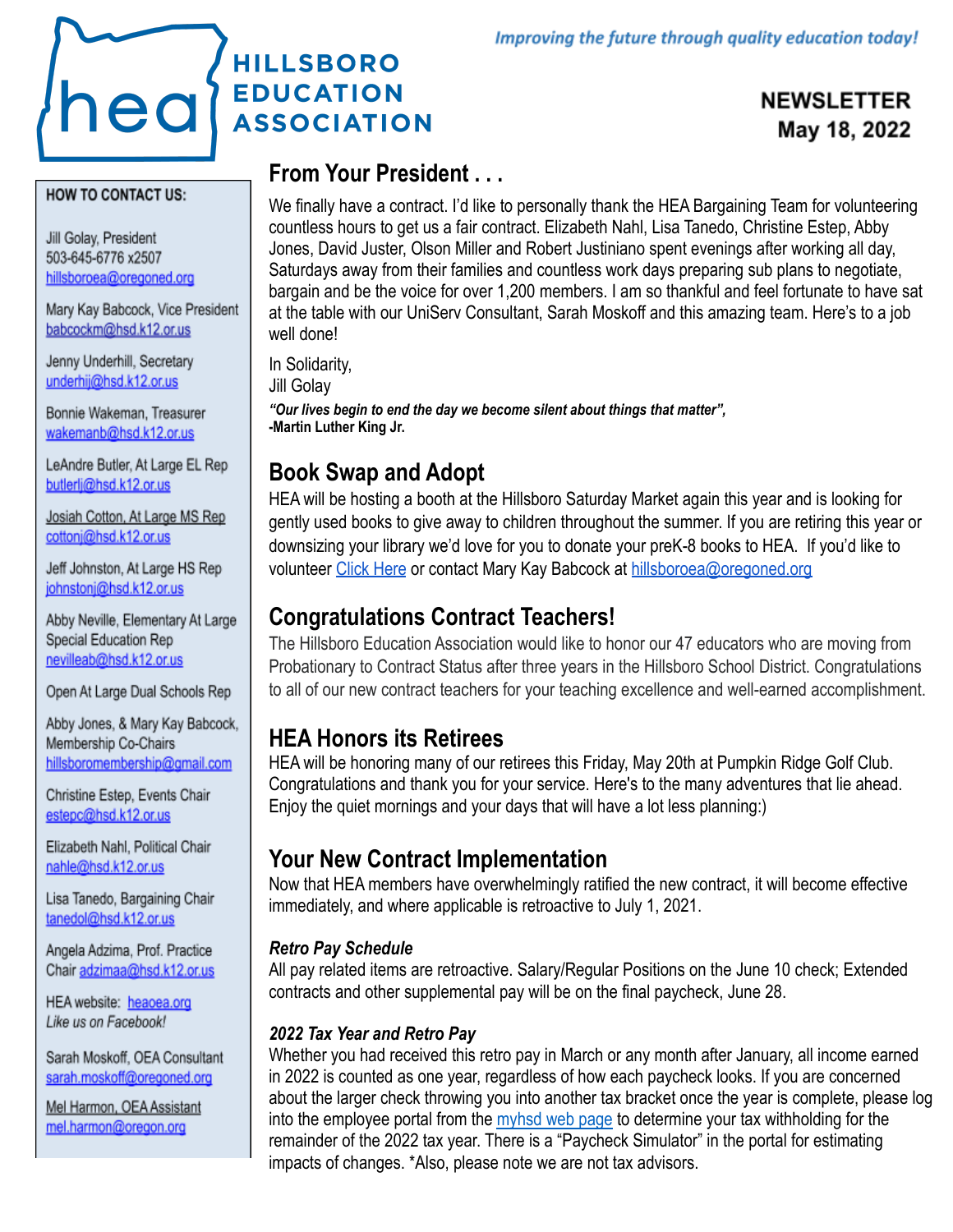# **HILLSBORO** heal **EDUCATION ASSOCIATION**

### **NEWSLETTER** May 18, 2022

#### HOW TO CONTACT US:

Jill Golay, President 503-645-6776 x2507 hillsboroea@oregoned.org

Mary Kay Babcock, Vice President babcockm@hsd.k12.or.us

Jenny Underhill, Secretary underhij@hsd.k12.or.us

Bonnie Wakeman, Treasurer wakemanb@hsd.k12.or.us

LeAndre Butler, At Large EL Rep butlerli@hsd.k12.or.us

Josiah Cotton, At Large MS Rep cottoni@hsd.k12.or.us

Jeff Johnston, At Large HS Rep johnstonj@hsd.k12.or.us

Abby Neville, Elementary At Large Special Education Rep nevilleab@hsd.k12.or.us

Open At Large Dual Schools Rep

Abby Jones, & Mary Kay Babcock, Membership Co-Chairs hillsboromembership@gmail.com

Christine Estep, Events Chair estepc@hsd.k12.or.us

Elizabeth Nahl, Political Chair nahle@hsd.k12.or.us

Lisa Tanedo, Bargaining Chair tanedol@hsd.k12.or.us

Angela Adzima, Prof. Practice Chair adzimaa@hsd.k12.or.us

HEA website: heaoea.org Like us on Facebook!

Sarah Moskoff, OEA Consultant sarah.moskoff@oregoned.org

Mel Harmon, OEA Assistant mel.harmon@oregon.org

### **From Your President . . .**

We finally have a contract. I'd like to personally thank the HEA Bargaining Team for volunteering countless hours to get us a fair contract. Elizabeth Nahl, Lisa Tanedo, Christine Estep, Abby Jones, David Juster, Olson Miller and Robert Justiniano spent evenings after working all day, Saturdays away from their families and countless work days preparing sub plans to negotiate, bargain and be the voice for over 1,200 members. I am so thankful and feel fortunate to have sat at the table with our UniServ Consultant, Sarah Moskoff and this amazing team. Here's to a job well done!

In Solidarity,

Jill Golay

*"Our lives begin to end the day we become silent about things that matter",* **-Martin Luther King Jr.**

### **Book Swap and Adopt**

HEA will be hosting a booth at the Hillsboro Saturday Market again this year and is looking for gently used books to give away to children throughout the summer. If you are retiring this year or downsizing your library we'd love for you to donate your preK-8 books to HEA. If you'd like to volunteer [Click Here](https://docs.google.com/forms/d/1ZAxYtWHt6S9J5-U4CcKSKqbuQaV-oFm6MwRiT7giJms/edit?usp=sharing) or contact Mary Kay Babcock at [hillsboroea@oregoned.org](mailto:hillsboroea@oregoned.org)

### **Congratulations Contract Teachers!**

The Hillsboro Education Association would like to honor our 47 educators who are moving from Probationary to Contract Status after three years in the Hillsboro School District. Congratulations to all of our new contract teachers for your teaching excellence and well-earned accomplishment.

### **HEA Honors its Retirees**

HEA will be honoring many of our retirees this Friday, May 20th at Pumpkin Ridge Golf Club. Congratulations and thank you for your service. Here's to the many adventures that lie ahead. Enjoy the quiet mornings and your days that will have a lot less planning:)

### **Your New Contract Implementation**

Now that HEA members have overwhelmingly ratified the new contract, it will become effective immediately, and where applicable is retroactive to July 1, 2021.

#### *Retro Pay Schedule*

All pay related items are retroactive. Salary/Regular Positions on the June 10 check; Extended contracts and other supplemental pay will be on the final paycheck, June 28.

#### *2022 Tax Year and Retro Pay*

Whether you had received this retro pay in March or any month after January, all income earned in 2022 is counted as one year, regardless of how each paycheck looks. If you are concerned about the larger check throwing you into another tax bracket once the year is complete, please log into the employee portal from the [myhsd web page](https://sites.google.com/a/hsd.k12.or.us/myhsd/home?pli=1) to determine your tax withholding for the remainder of the 2022 tax year. There is a "Paycheck Simulator" in the portal for estimating impacts of changes. \*Also, please note we are not tax advisors.